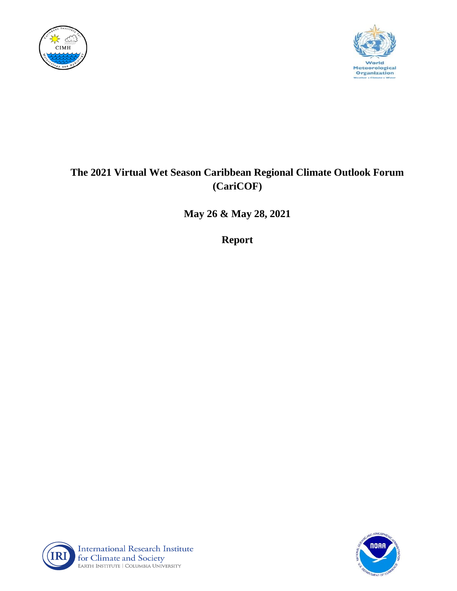



# **The 2021 Virtual Wet Season Caribbean Regional Climate Outlook Forum (CariCOF)**

**May 26 & May 28, 2021**

**Report**



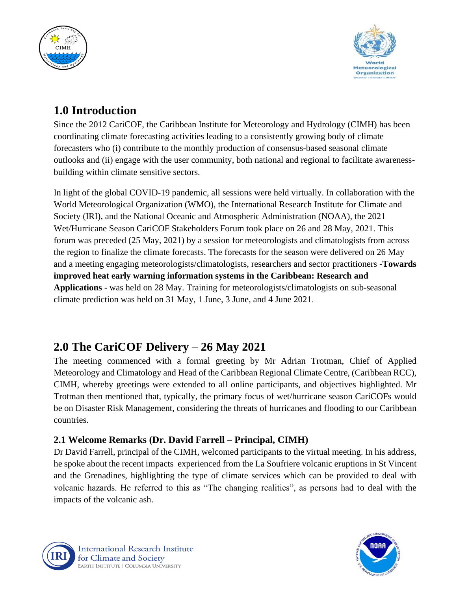



# **1.0 Introduction**

Since the 2012 CariCOF, the Caribbean Institute for Meteorology and Hydrology (CIMH) has been coordinating climate forecasting activities leading to a consistently growing body of climate forecasters who (i) contribute to the monthly production of consensus-based seasonal climate outlooks and (ii) engage with the user community, both national and regional to facilitate awarenessbuilding within climate sensitive sectors.

In light of the global COVID-19 pandemic, all sessions were held virtually. In collaboration with the World Meteorological Organization (WMO), the International Research Institute for Climate and Society (IRI), and the National Oceanic and Atmospheric Administration (NOAA), the 2021 Wet/Hurricane Season CariCOF Stakeholders Forum took place on 26 and 28 May, 2021. This forum was preceded (25 May, 2021) by a session for meteorologists and climatologists from across the region to finalize the climate forecasts. The forecasts for the season were delivered on 26 May and a meeting engaging meteorologists/climatologists, researchers and sector practitioners -**Towards improved heat early warning information systems in the Caribbean: Research and Applications** - was held on 28 May. Training for meteorologists/climatologists on sub-seasonal climate prediction was held on 31 May, 1 June, 3 June, and 4 June 2021.

# **2.0 The CariCOF Delivery – 26 May 2021**

The meeting commenced with a formal greeting by Mr Adrian Trotman, Chief of Applied Meteorology and Climatology and Head of the Caribbean Regional Climate Centre, (Caribbean RCC), CIMH, whereby greetings were extended to all online participants, and objectives highlighted. Mr Trotman then mentioned that, typically, the primary focus of wet/hurricane season CariCOFs would be on Disaster Risk Management, considering the threats of hurricanes and flooding to our Caribbean countries.

# **2.1 Welcome Remarks (Dr. David Farrell – Principal, CIMH)**

Dr David Farrell, principal of the CIMH, welcomed participants to the virtual meeting. In his address, he spoke about the recent impacts experienced from the La Soufriere volcanic eruptions in St Vincent and the Grenadines, highlighting the type of climate services which can be provided to deal with volcanic hazards. He referred to this as "The changing realities", as persons had to deal with the impacts of the volcanic ash.



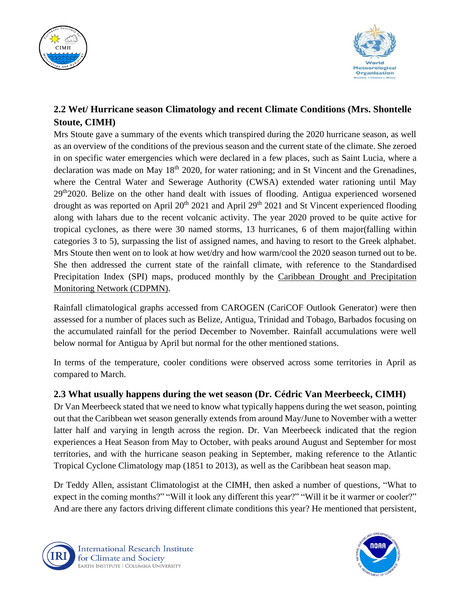



## **2.2 Wet/ Hurricane season Climatology and recent Climate Conditions (Mrs. Shontelle Stoute, CIMH)**

Mrs Stoute gave a summary of the events which transpired during the 2020 hurricane season, as well as an overview of the conditions of the previous season and the current state of the climate. She zeroed in on specific water emergencies which were declared in a few places, such as Saint Lucia, where a declaration was made on May  $18<sup>th</sup> 2020$ , for water rationing; and in St Vincent and the Grenadines, where the Central Water and Sewerage Authority (CWSA) extended water rationing until May 29<sup>th</sup>2020. Belize on the other hand dealt with issues of flooding. Antigua experienced worsened drought as was reported on April  $20^{th}$  2021 and April  $29^{th}$  2021 and St Vincent experienced flooding along with lahars due to the recent volcanic activity. The year 2020 proved to be quite active for tropical cyclones, as there were 30 named storms, 13 hurricanes, 6 of them major(falling within categories 3 to 5), surpassing the list of assigned names, and having to resort to the Greek alphabet. Mrs Stoute then went on to look at how wet/dry and how warm/cool the 2020 season turned out to be. She then addressed the current state of the rainfall climate, with reference to the Standardised Precipitation Index (SPI) maps, produced monthly by the [Caribbean Drought and Precipitation](https://rcc.cimh.edu.bb/climate-monitoring/caribbean-drought-and-precipitation-monitoring-network/)  [Monitoring Network \(CDPMN\).](https://rcc.cimh.edu.bb/climate-monitoring/caribbean-drought-and-precipitation-monitoring-network/)

Rainfall climatological graphs accessed from CAROGEN (CariCOF Outlook Generator) were then assessed for a number of places such as Belize, Antigua, Trinidad and Tobago, Barbados focusing on the accumulated rainfall for the period December to November. Rainfall accumulations were well below normal for Antigua by April but normal for the other mentioned stations.

In terms of the temperature, cooler conditions were observed across some territories in April as compared to March.

### **2.3 What usually happens during the wet season (Dr. Cédric Van Meerbeeck, CIMH)**

Dr Van Meerbeeck stated that we need to know what typically happens during the wet season, pointing out that the Caribbean wet season generally extends from around May/June to November with a wetter latter half and varying in length across the region. Dr. Van Meerbeeck indicated that the region experiences a Heat Season from May to October, with peaks around August and September for most territories, and with the hurricane season peaking in September, making reference to the Atlantic Tropical Cyclone Climatology map (1851 to 2013), as well as the Caribbean heat season map.

Dr Teddy Allen, assistant Climatologist at the CIMH, then asked a number of questions, "What to expect in the coming months?" "Will it look any different this year?" "Will it be it warmer or cooler?" And are there any factors driving different climate conditions this year? He mentioned that persistent,



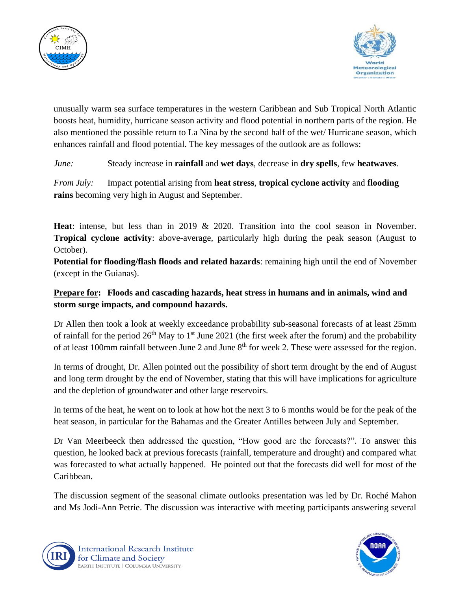



unusually warm sea surface temperatures in the western Caribbean and Sub Tropical North Atlantic boosts heat, humidity, hurricane season activity and flood potential in northern parts of the region. He also mentioned the possible return to La Nina by the second half of the wet/ Hurricane season, which enhances rainfall and flood potential. The key messages of the outlook are as follows:

*June:* Steady increase in **rainfall** and **wet days**, decrease in **dry spells**, few **heatwaves**.

*From July:* Impact potential arising from **heat stress**, **tropical cyclone activity** and **flooding rains** becoming very high in August and September.

**Heat**: intense, but less than in 2019 & 2020. Transition into the cool season in November. **Tropical cyclone activity**: above-average, particularly high during the peak season (August to October).

**Potential for flooding/flash floods and related hazards**: remaining high until the end of November (except in the Guianas).

#### **Prepare for: Floods and cascading hazards, heat stress in humans and in animals, wind and storm surge impacts, and compound hazards.**

Dr Allen then took a look at weekly exceedance probability sub-seasonal forecasts of at least 25mm of rainfall for the period  $26<sup>th</sup>$  May to 1<sup>st</sup> June 2021 (the first week after the forum) and the probability of at least 100mm rainfall between June 2 and June 8<sup>th</sup> for week 2. These were assessed for the region.

In terms of drought, Dr. Allen pointed out the possibility of short term drought by the end of August and long term drought by the end of November, stating that this will have implications for agriculture and the depletion of groundwater and other large reservoirs.

In terms of the heat, he went on to look at how hot the next 3 to 6 months would be for the peak of the heat season, in particular for the Bahamas and the Greater Antilles between July and September.

Dr Van Meerbeeck then addressed the question, "How good are the forecasts?". To answer this question, he looked back at previous forecasts (rainfall, temperature and drought) and compared what was forecasted to what actually happened. He pointed out that the forecasts did well for most of the Caribbean.

The discussion segment of the seasonal climate outlooks presentation was led by Dr. Roché Mahon and Ms Jodi-Ann Petrie. The discussion was interactive with meeting participants answering several



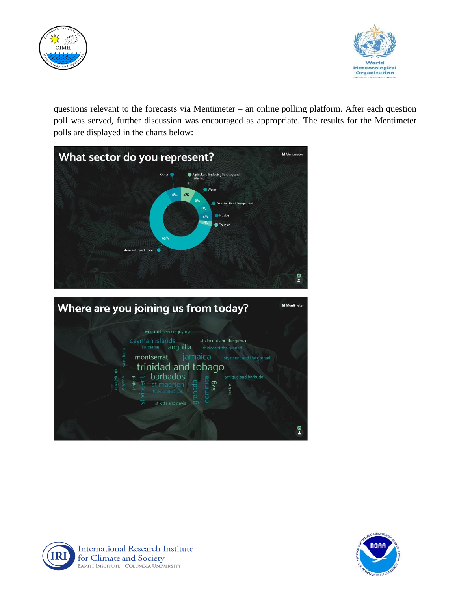



questions relevant to the forecasts via Mentimeter – an online polling platform. After each question poll was served, further discussion was encouraged as appropriate. The results for the Mentimeter polls are displayed in the charts below:







**International Research Institute** for Climate and Society EARTH INSTITUTE | COLUMBIA UNIVERSITY

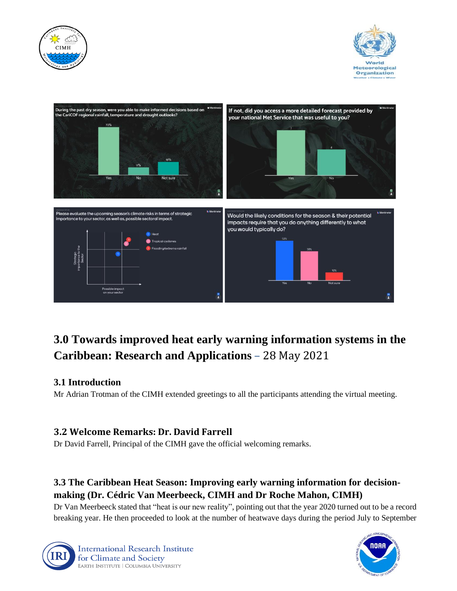





# **3.0 Towards improved heat early warning information systems in the Caribbean: Research and Applications** – 28 May 2021

### **3.1 Introduction**

Mr Adrian Trotman of the CIMH extended greetings to all the participants attending the virtual meeting.

### **3.2 Welcome Remarks: Dr. David Farrell**

Dr David Farrell, Principal of the CIMH gave the official welcoming remarks.

# **3.3 The Caribbean Heat Season: Improving early warning information for decisionmaking (Dr. Cédric Van Meerbeeck, CIMH and Dr Roche Mahon, CIMH)**

Dr Van Meerbeeck stated that "heat is our new reality", pointing out that the year 2020 turned out to be a record breaking year. He then proceeded to look at the number of heatwave days during the period July to September



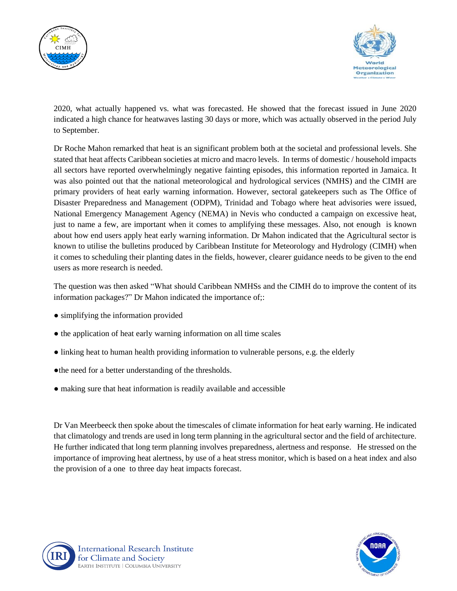



2020, what actually happened vs. what was forecasted. He showed that the forecast issued in June 2020 indicated a high chance for heatwaves lasting 30 days or more, which was actually observed in the period July to September.

Dr Roche Mahon remarked that heat is an significant problem both at the societal and professional levels. She stated that heat affects Caribbean societies at micro and macro levels. In terms of domestic / household impacts all sectors have reported overwhelmingly negative fainting episodes, this information reported in Jamaica. It was also pointed out that the national meteorological and hydrological services (NMHS) and the CIMH are primary providers of heat early warning information. However, sectoral gatekeepers such as The Office of Disaster Preparedness and Management (ODPM), Trinidad and Tobago where heat advisories were issued, National Emergency Management Agency (NEMA) in Nevis who conducted a campaign on excessive heat, just to name a few, are important when it comes to amplifying these messages. Also, not enough is known about how end users apply heat early warning information. Dr Mahon indicated that the Agricultural sector is known to utilise the bulletins produced by Caribbean Institute for Meteorology and Hydrology (CIMH) when it comes to scheduling their planting dates in the fields, however, clearer guidance needs to be given to the end users as more research is needed.

The question was then asked "What should Caribbean NMHSs and the CIMH do to improve the content of its information packages?" Dr Mahon indicated the importance of;:

- simplifying the information provided
- the application of heat early warning information on all time scales
- linking heat to human health providing information to vulnerable persons, e.g. the elderly
- ●the need for a better understanding of the thresholds.
- making sure that heat information is readily available and accessible

Dr Van Meerbeeck then spoke about the timescales of climate information for heat early warning. He indicated that climatology and trends are used in long term planning in the agricultural sector and the field of architecture. He further indicated that long term planning involves preparedness, alertness and response. He stressed on the importance of improving heat alertness, by use of a heat stress monitor, which is based on a heat index and also the provision of a one to three day heat impacts forecast.



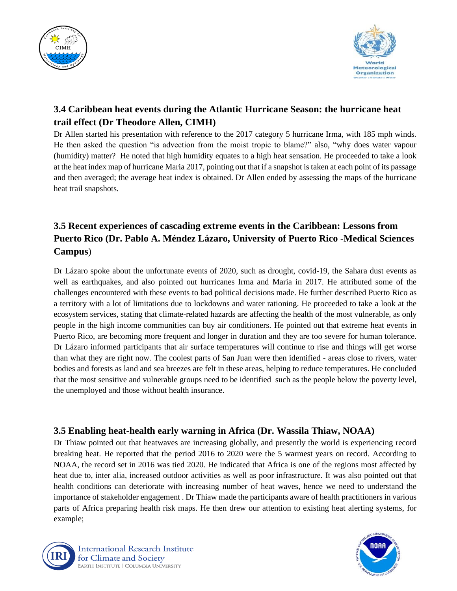



## **3.4 Caribbean heat events during the Atlantic Hurricane Season: the hurricane heat trail effect (Dr Theodore Allen, CIMH)**

Dr Allen started his presentation with reference to the 2017 category 5 hurricane Irma, with 185 mph winds. He then asked the question "is advection from the moist tropic to blame?" also, "why does water vapour (humidity) matter? He noted that high humidity equates to a high heat sensation. He proceeded to take a look at the heat index map of hurricane Maria 2017, pointing out that if a snapshot is taken at each point of its passage and then averaged; the average heat index is obtained. Dr Allen ended by assessing the maps of the hurricane heat trail snapshots.

## **3.5 Recent experiences of cascading extreme events in the Caribbean: Lessons from Puerto Rico (Dr. Pablo A. Méndez Lázaro, University of Puerto Rico -Medical Sciences Campus**)

Dr Lázaro spoke about the unfortunate events of 2020, such as drought, covid-19, the Sahara dust events as well as earthquakes, and also pointed out hurricanes Irma and Maria in 2017. He attributed some of the challenges encountered with these events to bad political decisions made. He further described Puerto Rico as a territory with a lot of limitations due to lockdowns and water rationing. He proceeded to take a look at the ecosystem services, stating that climate-related hazards are affecting the health of the most vulnerable, as only people in the high income communities can buy air conditioners. He pointed out that extreme heat events in Puerto Rico, are becoming more frequent and longer in duration and they are too severe for human tolerance. Dr Lázaro informed participants that air surface temperatures will continue to rise and things will get worse than what they are right now. The coolest parts of San Juan were then identified - areas close to rivers, water bodies and forests as land and sea breezes are felt in these areas, helping to reduce temperatures. He concluded that the most sensitive and vulnerable groups need to be identified such as the people below the poverty level, the unemployed and those without health insurance.

### **3.5 Enabling heat-health early warning in Africa (Dr. Wassila Thiaw, NOAA)**

Dr Thiaw pointed out that heatwaves are increasing globally, and presently the world is experiencing record breaking heat. He reported that the period 2016 to 2020 were the 5 warmest years on record. According to NOAA, the record set in 2016 was tied 2020. He indicated that Africa is one of the regions most affected by heat due to, inter alia, increased outdoor activities as well as poor infrastructure. It was also pointed out that health conditions can deteriorate with increasing number of heat waves, hence we need to understand the importance of stakeholder engagement . Dr Thiaw made the participants aware of health practitioners in various parts of Africa preparing health risk maps. He then drew our attention to existing heat alerting systems, for example;



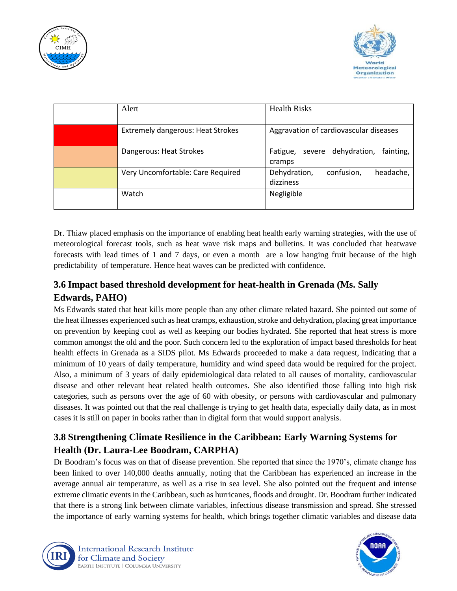



| Alert                                    | <b>Health Risks</b>                                       |
|------------------------------------------|-----------------------------------------------------------|
| <b>Extremely dangerous: Heat Strokes</b> | Aggravation of cardiovascular diseases                    |
| Dangerous: Heat Strokes                  | dehydration,<br>fainting,<br>Fatigue,<br>severe<br>cramps |
| Very Uncomfortable: Care Required        | Dehydration,<br>confusion,<br>headache,<br>dizziness      |
| Watch                                    | Negligible                                                |

Dr. Thiaw placed emphasis on the importance of enabling heat health early warning strategies, with the use of meteorological forecast tools, such as heat wave risk maps and bulletins. It was concluded that heatwave forecasts with lead times of 1 and 7 days, or even a month are a low hanging fruit because of the high predictability of temperature. Hence heat waves can be predicted with confidence.

## **3.6 Impact based threshold development for heat-health in Grenada (Ms. Sally Edwards, PAHO)**

Ms Edwards stated that heat kills more people than any other climate related hazard. She pointed out some of the heat illnesses experienced such as heat cramps, exhaustion, stroke and dehydration, placing great importance on prevention by keeping cool as well as keeping our bodies hydrated. She reported that heat stress is more common amongst the old and the poor. Such concern led to the exploration of impact based thresholds for heat health effects in Grenada as a SIDS pilot. Ms Edwards proceeded to make a data request, indicating that a minimum of 10 years of daily temperature, humidity and wind speed data would be required for the project. Also, a minimum of 3 years of daily epidemiological data related to all causes of mortality, cardiovascular disease and other relevant heat related health outcomes. She also identified those falling into high risk categories, such as persons over the age of 60 with obesity, or persons with cardiovascular and pulmonary diseases. It was pointed out that the real challenge is trying to get health data, especially daily data, as in most cases it is still on paper in books rather than in digital form that would support analysis.

### **3.8 Strengthening Climate Resilience in the Caribbean: Early Warning Systems for Health (Dr. Laura-Lee Boodram, CARPHA)**

Dr Boodram's focus was on that of disease prevention. She reported that since the 1970's, climate change has been linked to over 140,000 deaths annually, noting that the Caribbean has experienced an increase in the average annual air temperature, as well as a rise in sea level. She also pointed out the frequent and intense extreme climatic events in the Caribbean, such as hurricanes, floods and drought. Dr. Boodram further indicated that there is a strong link between climate variables, infectious disease transmission and spread. She stressed the importance of early warning systems for health, which brings together climatic variables and disease data